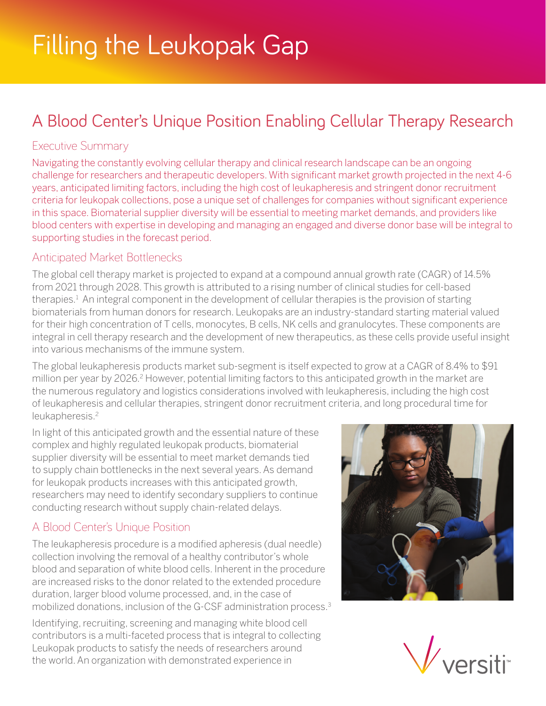# A Blood Center's Unique Position Enabling Cellular Therapy Research

### Executive Summary

Navigating the constantly evolving cellular therapy and clinical research landscape can be an ongoing challenge for researchers and therapeutic developers. With significant market growth projected in the next 4-6 years, anticipated limiting factors, including the high cost of leukapheresis and stringent donor recruitment criteria for leukopak collections, pose a unique set of challenges for companies without significant experience in this space. Biomaterial supplier diversity will be essential to meeting market demands, and providers like blood centers with expertise in developing and managing an engaged and diverse donor base will be integral to supporting studies in the forecast period.

#### Anticipated Market Bottlenecks

The global cell therapy market is projected to expand at a compound annual growth rate (CAGR) of 14.5% from 2021 through 2028. This growth is attributed to a rising number of clinical studies for cell-based therapies.<sup>1</sup> An integral component in the development of cellular therapies is the provision of starting biomaterials from human donors for research. Leukopaks are an industry-standard starting material valued for their high concentration of T cells, monocytes, B cells, NK cells and granulocytes. These components are integral in cell therapy research and the development of new therapeutics, as these cells provide useful insight into various mechanisms of the immune system.

The global leukapheresis products market sub-segment is itself expected to grow at a CAGR of 8.4% to \$91 million per year by 2026.<sup>2</sup> However, potential limiting factors to this anticipated growth in the market are the numerous regulatory and logistics considerations involved with leukapheresis, including the high cost of leukapheresis and cellular therapies, stringent donor recruitment criteria, and long procedural time for leukapheresis.<sup>2</sup>

In light of this anticipated growth and the essential nature of these complex and highly regulated leukopak products, biomaterial supplier diversity will be essential to meet market demands tied to supply chain bottlenecks in the next several years. As demand for leukopak products increases with this anticipated growth, researchers may need to identify secondary suppliers to continue conducting research without supply chain-related delays.

## A Blood Center's Unique Position

The leukapheresis procedure is a modified apheresis (dual needle) collection involving the removal of a healthy contributor's whole blood and separation of white blood cells. Inherent in the procedure are increased risks to the donor related to the extended procedure duration, larger blood volume processed, and, in the case of mobilized donations, inclusion of the G-CSF administration process.3

Identifying, recruiting, screening and managing white blood cell contributors is a multi-faceted process that is integral to collecting Leukopak products to satisfy the needs of researchers around the world. An organization with demonstrated experience in



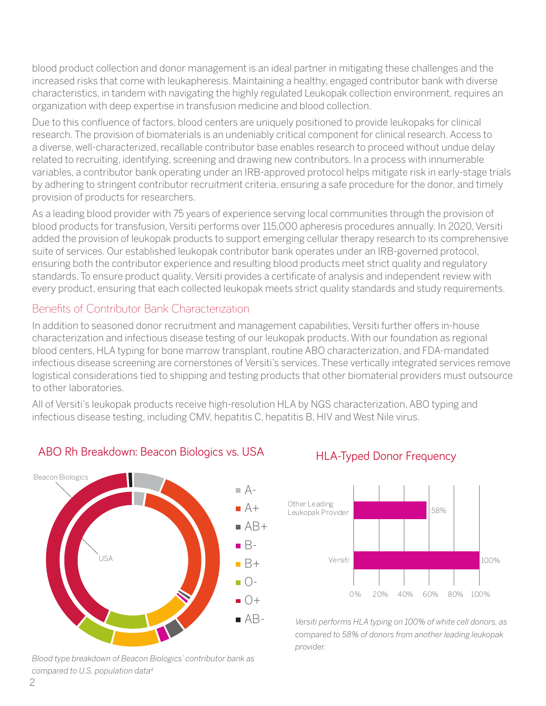blood product collection and donor management is an ideal partner in mitigating these challenges and the increased risks that come with leukapheresis. Maintaining a healthy, engaged contributor bank with diverse characteristics, in tandem with navigating the highly regulated Leukopak collection environment, requires an organization with deep expertise in transfusion medicine and blood collection.

Due to this confluence of factors, blood centers are uniquely positioned to provide leukopaks for clinical research. The provision of biomaterials is an undeniably critical component for clinical research. Access to a diverse, well-characterized, recallable contributor base enables research to proceed without undue delay related to recruiting, identifying, screening and drawing new contributors. In a process with innumerable variables, a contributor bank operating under an IRB-approved protocol helps mitigate risk in early-stage trials by adhering to stringent contributor recruitment criteria, ensuring a safe procedure for the donor, and timely provision of products for researchers.

As a leading blood provider with 75 years of experience serving local communities through the provision of blood products for transfusion, Versiti performs over 115,000 apheresis procedures annually. In 2020, Versiti added the provision of leukopak products to support emerging cellular therapy research to its comprehensive suite of services. Our established leukopak contributor bank operates under an IRB-governed protocol, ensuring both the contributor experience and resulting blood products meet strict quality and regulatory standards. To ensure product quality, Versiti provides a certificate of analysis and independent review with Aevery product, ensuring that each collected leukopak meets strict quality standards and study requirements.<br>.

# Benefits of Contributor Bank Characterization

In addition to seasoned donor recruitment and management capabilities, Versiti further offers in-house characterization and infectious disease testing of our leukopak products. With our foundation as regional Bblood centers, HLA typing for bone marrow transplant, routine ABO characterization, and FDA-mandated infectious disease screening are cornerstones of Versiti's services. These vertically integrated services remove iniectious uisease screening are corrierstones or versiti s services. These vertically integrated services remove<br>logistical considerations tied to shipping and testing products that other biomaterial providers must outsou to other laboratories.

All of Versiti's leukopak products receive high-resolution HLA by NGS characterization, ABO typing and infectious disease testing, including CMV, hepatitis C, hepatitis B, HIV and West Nile virus.



#### ABO Rh Breakdown: Beacon Biologics vs. USA

compared to U.S. population data<sup>4</sup><br>compared to U.S. population data<sup>4</sup> *Blood type breakdown of Beacon Biologics' contributor bank as* 

#### **HLA-Typed Donor Frequency**



*Versiti performs HLA typing on 100% of white cell donors, as compared to 58% of donors from another leading leukopak provider.*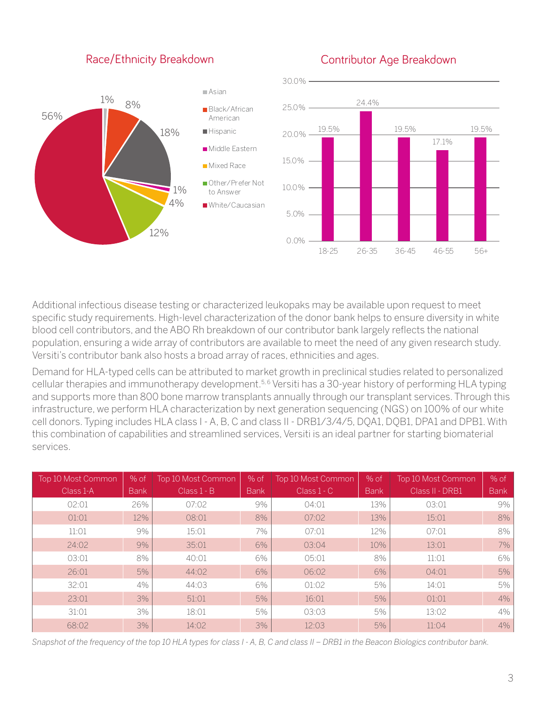#### Race/Ethnicity Breakdown

#### Contributor Age Breakdown



Additional infectious disease testing or characterized leukopaks may be available upon request to meet 30.0% specific study requirements. High-level characterization of the donor bank helps to ensure diversity in white blood cell contributors, and the ABO Rh breakdown of our contributor bank largely reflects the national population, ensuring a wide array of contributors are available to meet the need of any given research study. Versiti's contributor bank also hosts a broad array of races, ethnicities and ages. 17.1%  $20.00$ 

Demand for HLA-typed cells can be attributed to market growth in preclinical studies related to personalized cellular therapies and immunotherapy development.5, 6 Versiti has a 30-year history of performing HLA typing 15.0% and supports more than 800 bone marrow transplants annually through our transplant services. Through this infrastructure, we perform HLA characterization by next generation sequencing (NGS) on 100% of our white cell donors. Typing includes HLA class I - A, B, C and class II - DRB1/3/4/5, DQA1, DQB1, DPA1 and DPB1. With this combination of capabilities and streamlined services, Versiti is an ideal partner for starting biomaterial services.

| Top 10 Most Common | $%$ of      | Top 10 Most Common | $%$ of      | Top 10 Most Common | % of        | Top 10 Most Common | $%$ of      |
|--------------------|-------------|--------------------|-------------|--------------------|-------------|--------------------|-------------|
| Class 1-A          | <b>Bank</b> | $Class 1 - B$      | <b>Bank</b> | $Class 1 - C$      | <b>Bank</b> | Class II - DRB1    | <b>Bank</b> |
| 02:01              | 26%         | 07:02              | 9%          | 04:01              | 13%         | 03:01              | 9%          |
| 01:01              | 12%         | 08:01              | 8%          | 07:02              | 13%         | 15:01              | 8%          |
| 11:01              | 9%          | 15:01              | 7%          | 07:01              | 12%         | 07:01              | 8%          |
| 24:02              | 9%          | 35:01              | 6%          | 03:04              | 10%         | 13:01              | 7%          |
| 03:01              | 8%          | 40:01              | 6%          | 05:01              | 8%          | 11:01              | $6\%$       |
| 26:01              | 5%          | 44:02              | 6%          | 06:02              | 6%          | 04:01              | 5%          |
| 32:01              | 4%          | 44:03              | 6%          | 01:02              | 5%          | 14:01              | $5\%$       |
| 23:01              | 3%          | 51:01              | 5%          | 16:01              | 5%          | 01:01              | 4%          |
| 31:01              | 3%          | 18:01              | 5%          | 03:03              | 5%          | 13:02              | $4\%$       |
| 68:02              | 3%          | 14:02              | 3%          | 12:03              | 5%          | 11:04              | $4\%$       |

*Snapshot of the frequency of the top 10 HLA types for class I - A, B, C and class II – DRB1 in the Beacon Biologics contributor bank.*